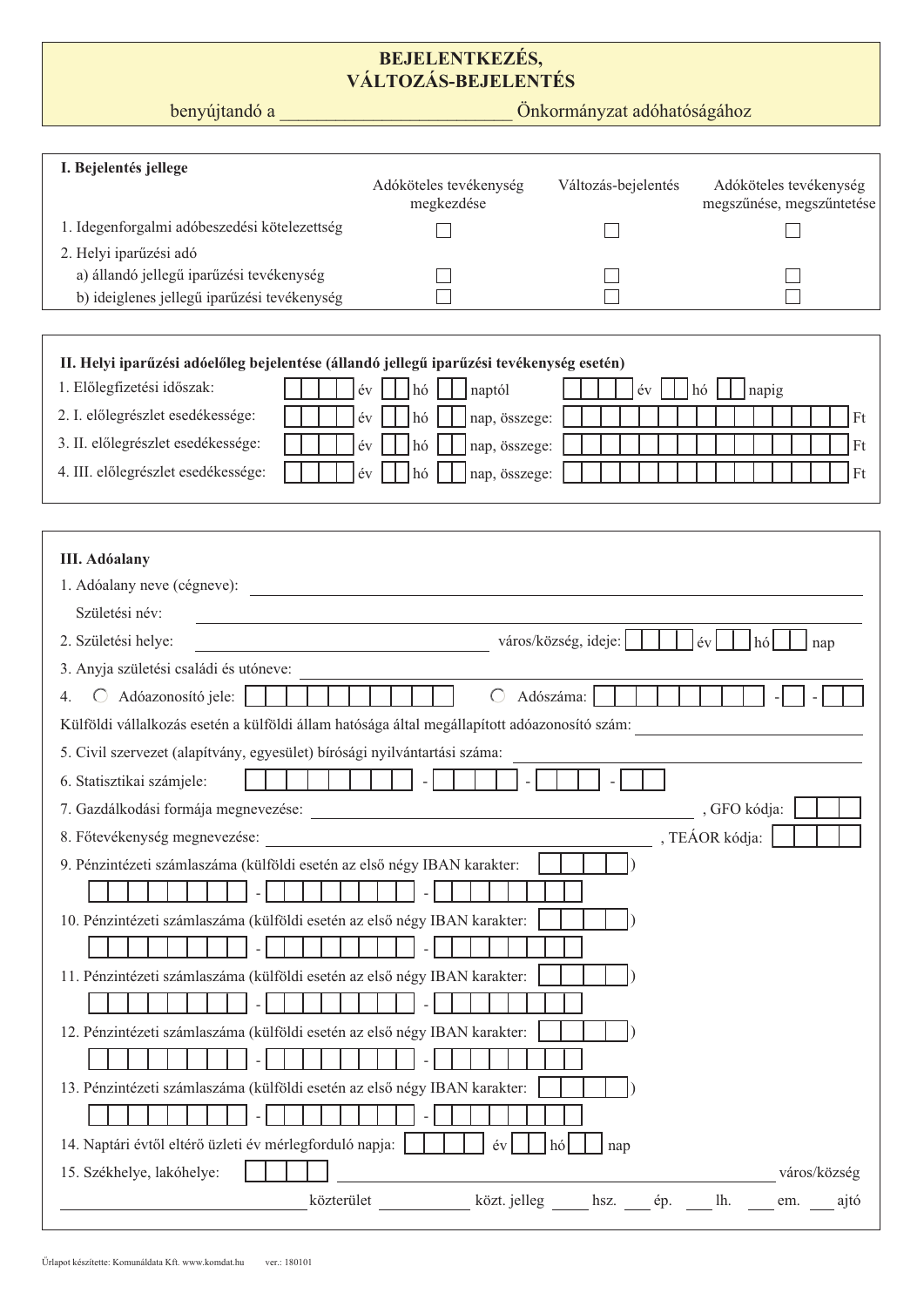## BEJELENTKEZÉS,<br>VÁLTOZÁS-BEJELENTÉS

benyújtandó a

Önkormányzat adóhatóságához

| I. Bejelentés jellege                                                                        |                                                                                                                                                                                                                                                                                                                                                                                                                                                                                             |                      |                                                     |
|----------------------------------------------------------------------------------------------|---------------------------------------------------------------------------------------------------------------------------------------------------------------------------------------------------------------------------------------------------------------------------------------------------------------------------------------------------------------------------------------------------------------------------------------------------------------------------------------------|----------------------|-----------------------------------------------------|
|                                                                                              | Adóköteles tevékenység<br>megkezdése                                                                                                                                                                                                                                                                                                                                                                                                                                                        | Változás-bejelentés  | Adóköteles tevékenység<br>megszűnése, megszűntetése |
| 1. Idegenforgalmi adóbeszedési kötelezettség                                                 |                                                                                                                                                                                                                                                                                                                                                                                                                                                                                             |                      |                                                     |
| 2. Helyi iparűzési adó                                                                       |                                                                                                                                                                                                                                                                                                                                                                                                                                                                                             |                      |                                                     |
| a) állandó jellegű iparűzési tevékenység                                                     |                                                                                                                                                                                                                                                                                                                                                                                                                                                                                             |                      |                                                     |
| b) ideiglenes jellegű iparűzési tevékenység                                                  |                                                                                                                                                                                                                                                                                                                                                                                                                                                                                             |                      |                                                     |
|                                                                                              |                                                                                                                                                                                                                                                                                                                                                                                                                                                                                             |                      |                                                     |
| II. Helyi iparűzési adóelőleg bejelentése (állandó jellegű iparűzési tevékenység esetén)     |                                                                                                                                                                                                                                                                                                                                                                                                                                                                                             |                      |                                                     |
| 1. Előlegfizetési időszak:                                                                   | év<br>hó<br>naptól                                                                                                                                                                                                                                                                                                                                                                                                                                                                          | év                   | napig<br>hó                                         |
| 2. I. előlegrészlet esedékessége:                                                            | év<br>hó<br>nap, összege:                                                                                                                                                                                                                                                                                                                                                                                                                                                                   |                      | Ft                                                  |
| 3. II. előlegrészlet esedékessége:                                                           | hó<br>nap, összege:<br>év                                                                                                                                                                                                                                                                                                                                                                                                                                                                   |                      | Ft                                                  |
| 4. III. előlegrészlet esedékessége:                                                          | nap, összege:<br>év<br>hó                                                                                                                                                                                                                                                                                                                                                                                                                                                                   |                      | Ft                                                  |
|                                                                                              |                                                                                                                                                                                                                                                                                                                                                                                                                                                                                             |                      |                                                     |
|                                                                                              |                                                                                                                                                                                                                                                                                                                                                                                                                                                                                             |                      |                                                     |
| <b>III.</b> Adóalany                                                                         |                                                                                                                                                                                                                                                                                                                                                                                                                                                                                             |                      |                                                     |
| 1. Adóalany neve (cégneve):                                                                  |                                                                                                                                                                                                                                                                                                                                                                                                                                                                                             |                      |                                                     |
| Születési név:                                                                               |                                                                                                                                                                                                                                                                                                                                                                                                                                                                                             |                      |                                                     |
| 2. Születési helye:                                                                          | <u> 1990 - Johann Barbara, martin da basar a</u>                                                                                                                                                                                                                                                                                                                                                                                                                                            | város/község, ideje: | $ \text{ev} $<br>$h\acute{o}$<br>nap                |
| 3. Anyja születési családi és utóneve:                                                       |                                                                                                                                                                                                                                                                                                                                                                                                                                                                                             |                      |                                                     |
| Adóazonosító jele:<br>$\left( \right)$                                                       | $\bigcirc$                                                                                                                                                                                                                                                                                                                                                                                                                                                                                  | Adószáma:            |                                                     |
| Külföldi vállalkozás esetén a külföldi állam hatósága által megállapított adóazonosító szám: |                                                                                                                                                                                                                                                                                                                                                                                                                                                                                             |                      |                                                     |
| 5. Civil szervezet (alapítvány, egyesület) bírósági nyilvántartási száma:                    |                                                                                                                                                                                                                                                                                                                                                                                                                                                                                             |                      |                                                     |
| 6. Statisztikai számjele:                                                                    | $\sim$ 1                                                                                                                                                                                                                                                                                                                                                                                                                                                                                    |                      |                                                     |
| 7. Gazdálkodási formája megnevezése:                                                         |                                                                                                                                                                                                                                                                                                                                                                                                                                                                                             |                      | , GFO kódja:                                        |
| 8. Főtevékenység megnevezése:                                                                | $\begin{tabular}{c} \multicolumn{2}{c} {\textbf{1}}\\ \multicolumn{2}{c} {\textbf{1}}\\ \multicolumn{2}{c} {\textbf{1}}\\ \multicolumn{2}{c} {\textbf{2}}\\ \multicolumn{2}{c} {\textbf{3}}\\ \multicolumn{2}{c} {\textbf{4}}\\ \multicolumn{2}{c} {\textbf{5}}\\ \multicolumn{2}{c} {\textbf{6}}\\ \multicolumn{2}{c} {\textbf{5}}\\ \multicolumn{2}{c} {\textbf{6}}\\ \multicolumn{2}{c} {\textbf{6}}\\ \multicolumn{2}{c} {\textbf{7}}\\ \multicolumn{2}{c} {\textbf{8}}\\ \multicolumn$ |                      |                                                     |
| 9. Pénzintézeti számlaszáma (külföldi esetén az első négy IBAN karakter:                     |                                                                                                                                                                                                                                                                                                                                                                                                                                                                                             |                      |                                                     |
|                                                                                              |                                                                                                                                                                                                                                                                                                                                                                                                                                                                                             |                      |                                                     |
| 10. Pénzintézeti számlaszáma (külföldi esetén az első négy IBAN karakter:                    |                                                                                                                                                                                                                                                                                                                                                                                                                                                                                             |                      |                                                     |
|                                                                                              |                                                                                                                                                                                                                                                                                                                                                                                                                                                                                             |                      |                                                     |
| 11. Pénzintézeti számlaszáma (külföldi esetén az első négy IBAN karakter:                    |                                                                                                                                                                                                                                                                                                                                                                                                                                                                                             |                      |                                                     |
|                                                                                              |                                                                                                                                                                                                                                                                                                                                                                                                                                                                                             |                      |                                                     |
| 12. Pénzintézeti számlaszáma (külföldi esetén az első négy IBAN karakter:                    |                                                                                                                                                                                                                                                                                                                                                                                                                                                                                             |                      |                                                     |
|                                                                                              |                                                                                                                                                                                                                                                                                                                                                                                                                                                                                             |                      |                                                     |
| 13. Pénzintézeti számlaszáma (külföldi esetén az első négy IBAN karakter:                    |                                                                                                                                                                                                                                                                                                                                                                                                                                                                                             |                      |                                                     |
|                                                                                              |                                                                                                                                                                                                                                                                                                                                                                                                                                                                                             |                      |                                                     |
| 14. Naptári évtől eltérő üzleti év mérlegforduló napja:                                      | év                                                                                                                                                                                                                                                                                                                                                                                                                                                                                          | hó<br>nap            |                                                     |
| 15. Székhelye, lakóhelye:                                                                    |                                                                                                                                                                                                                                                                                                                                                                                                                                                                                             |                      | város/község                                        |
| közterület                                                                                   | közt. jelleg                                                                                                                                                                                                                                                                                                                                                                                                                                                                                | hsz.<br>ép.          | lh.<br>ajtó<br>em.                                  |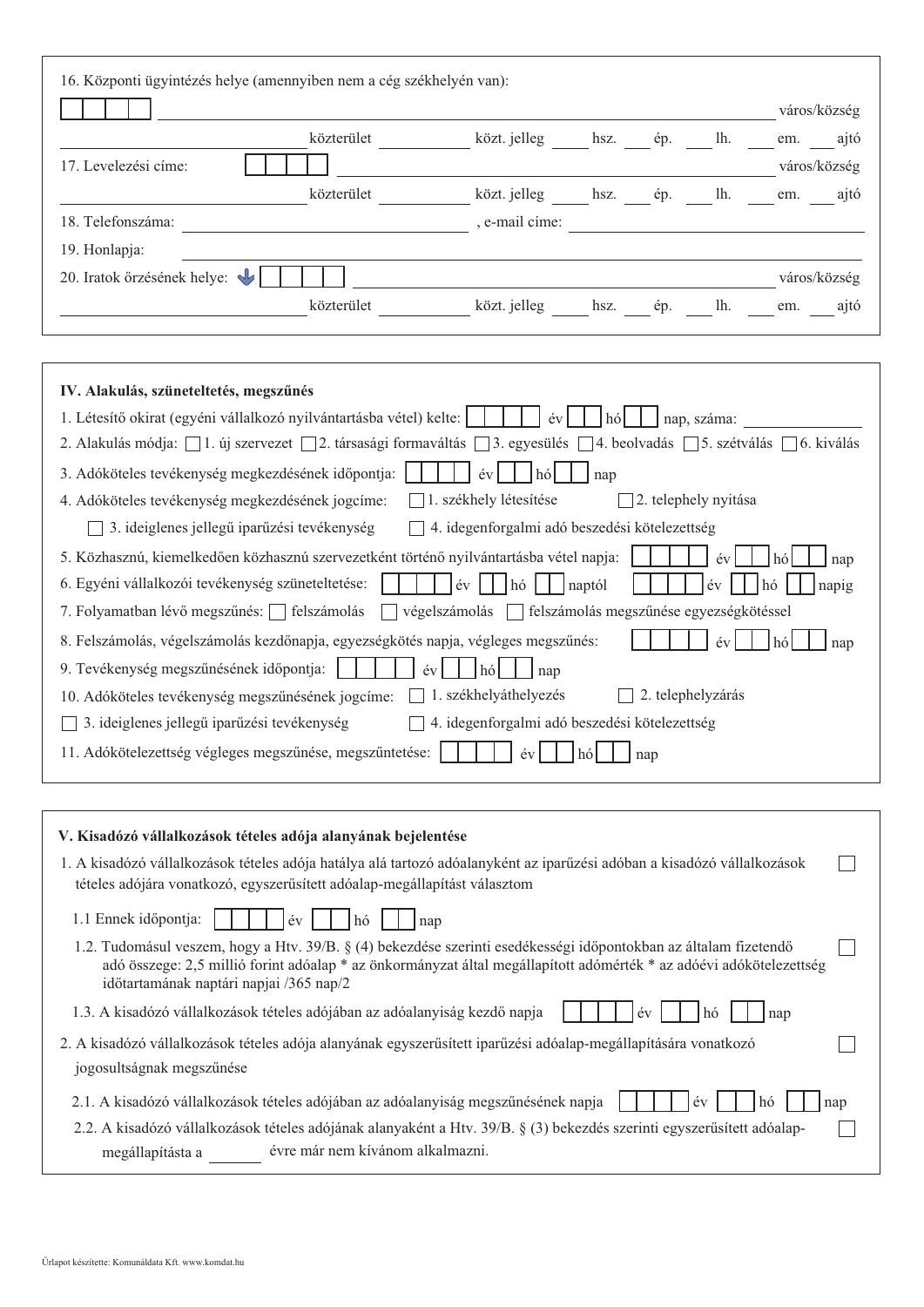|                             |            |                           |      |     |     | város/község |
|-----------------------------|------------|---------------------------|------|-----|-----|--------------|
|                             | közterület | közt. jelleg hsz. ép. lh. |      |     |     | em. ajtó     |
| 17. Levelezési címe:        |            |                           |      |     |     | város/község |
|                             | közterület | közt. jelleg hsz. ép.     |      |     | lh. | em. ajtó     |
| 18. Telefonszáma:           |            | , e-mail cime:            |      |     |     |              |
| 19. Honlapja:               |            |                           |      |     |     |              |
| 20. Iratok őrzésének helye: |            |                           |      |     |     | város/község |
|                             | közterület | közt. jelleg              | hsz. | ép. | lh. | ajtó<br>em.  |

| IV. Alakulás, szüneteltetés, megszűnés                                                                                    |
|---------------------------------------------------------------------------------------------------------------------------|
| 1. Létesítő okirat (egyéni vállalkozó nyilvántartásba vétel) kelte:<br>nap, száma:<br>év                                  |
| 2. Alakulás módja: □ 1. új szervezet □ 2. társasági formaváltás □ 3. egyesülés □ 4. beolvadás □ 5. szétválás □ 6. kiválás |
| 3. Adóköteles tevékenység megkezdésének időpontja:<br>év<br>hó<br>nap                                                     |
| 1. székhely létesítése<br>2. telephely nyitása<br>4. Adóköteles tevékenység megkezdésének jogcíme:                        |
| 4. idegenforgalmi adó beszedési kötelezettség<br>3. ideiglenes jellegű iparűzési tevékenység                              |
| 5. Közhasznú, kiemelkedően közhasznú szervezetként történő nyilvántartásba vétel napja:<br>hó<br>év<br>nap                |
| 6. Egyéni vállalkozói tevékenység szüneteltetése:<br>év<br>naptól<br>év<br>napig<br>hó                                    |
| végelszámolás $\Box$<br>felszámolás megszűnése egyezségkötéssel<br>7. Folyamatban lévő megszűnés:     felszámolás         |
| 8. Felszámolás, végelszámolás kezdőnapja, egyezségkötés napja, végleges megszűnés:<br>hó<br>év<br>nap                     |
| 9. Tevékenység megszűnésének időpontja:<br>év<br>hó<br>nap                                                                |
| 1. székhelyáthelyezés<br>2. telephelyzárás<br>10. Adóköteles tevékenység megszűnésének jogcíme:                           |
| 3. ideiglenes jellegű iparűzési tevékenység<br>4. idegenforgalmi adó beszedési kötelezettség                              |
| 11. Adókötelezettség végleges megszűnése, megszűntetése:<br>év<br>hó<br>nap                                               |

| V. Kisadózó vállalkozások tételes adója alanyának bejelentése<br>1. A kisadózó vállalkozások tételes adója hatálya alá tartozó adóalanyként az iparűzési adóban a kisadózó vállalkozások<br>tételes adójára vonatkozó, egyszerűsített adóalap-megállapítást választom                                                                   |  |
|-----------------------------------------------------------------------------------------------------------------------------------------------------------------------------------------------------------------------------------------------------------------------------------------------------------------------------------------|--|
| 1.1 Ennek időpontja:<br>$\acute{e}v$<br>hó<br>nap<br>1.2. Tudomásul veszem, hogy a Htv. 39/B. § (4) bekezdése szerinti esedékességi időpontokban az általam fizetendő<br>adó összege: 2,5 millió forint adóalap * az önkormányzat által megállapított adómérték * az adóévi adókötelezettség<br>időtartamának naptári napjai /365 nap/2 |  |
| 1.3. A kisadózó vállalkozások tételes adójában az adóalanyiság kezdő napja<br>év<br>nap<br>hó<br>2. A kisadózó vállalkozások tételes adója alanyának egyszerűsített iparűzési adóalap-megállapítására vonatkozó                                                                                                                         |  |
| jogosultságnak megszűnése<br>2.1. A kisadózó vállalkozások tételes adójában az adóalanyiság megszűnésének napja<br>év<br>hó<br>nap<br>2.2. A kisadózó vállalkozások tételes adójának alanyaként a Htv. 39/B. § (3) bekezdés szerinti egyszerűsített adóalap-<br>évre már nem kívánom alkalmazni.<br>megállapításta a                    |  |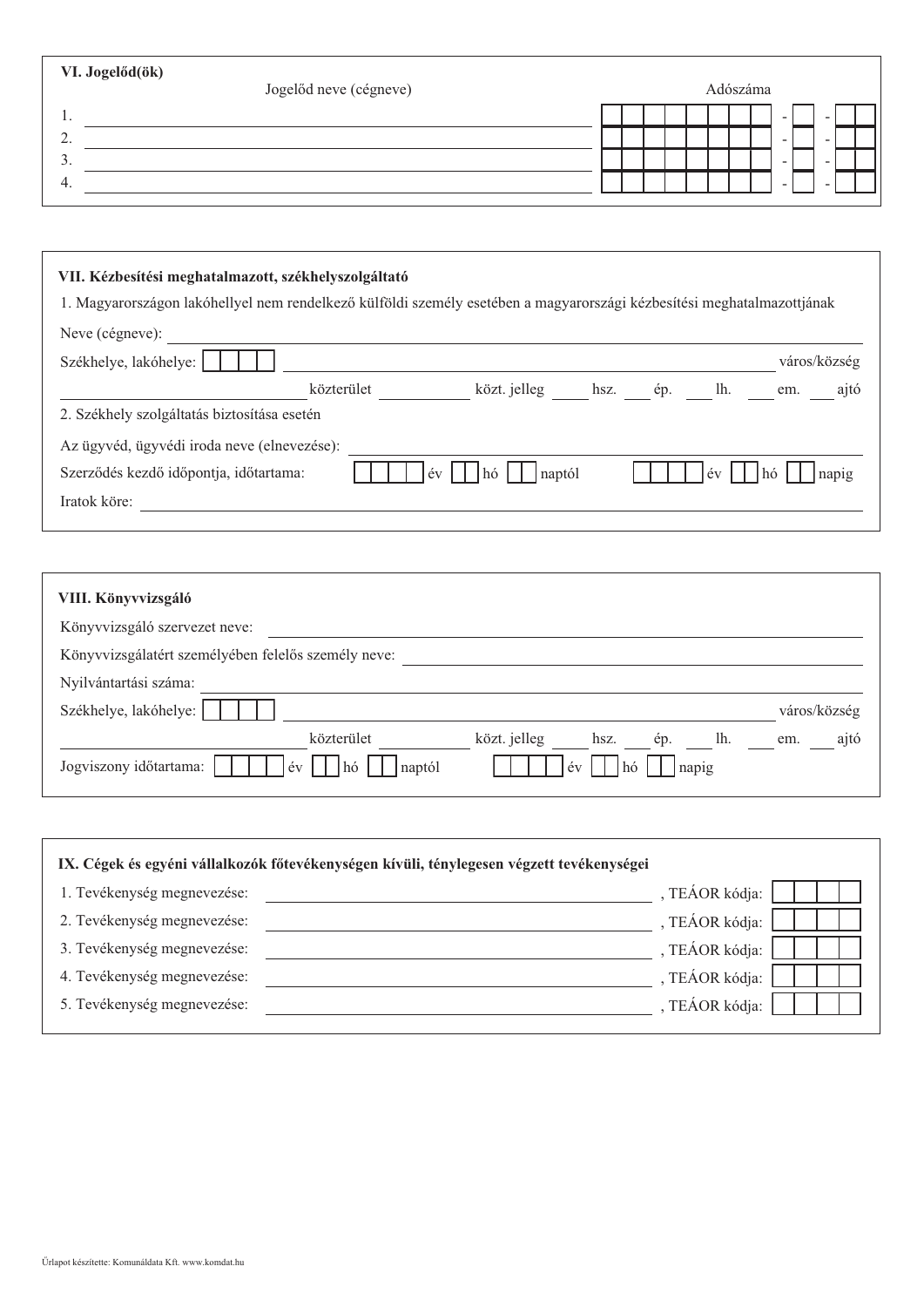| VI. Jogelőd(ök)       | Jogelőd neve (cégneve) |  |  | Adószáma |        |                          |  |
|-----------------------|------------------------|--|--|----------|--------|--------------------------|--|
| . .                   |                        |  |  |          | -      | -                        |  |
| $\bigcap$<br><u>.</u> |                        |  |  |          | $\sim$ | $\overline{\phantom{a}}$ |  |
| . ب                   |                        |  |  |          | $\sim$ | -                        |  |
| -4.                   |                        |  |  |          | -      | -                        |  |
|                       |                        |  |  |          |        |                          |  |

| VII. Kézbesítési meghatalmazott, székhelyszolgáltató<br>1. Magyarországon lakóhellyel nem rendelkező külföldi személy esetében a magyarországi kézbesítési meghatalmazottjának |
|--------------------------------------------------------------------------------------------------------------------------------------------------------------------------------|
| Neve (cégneve):                                                                                                                                                                |
| Székhelye, lakóhelye:<br>város/község                                                                                                                                          |
| közt. jelleg hsz. ép. lh. em.<br>közterület<br>ajtó                                                                                                                            |
| 2. Székhely szolgáltatás biztosítása esetén                                                                                                                                    |
| Az ügyvéd, ügyvédi iroda neve (elnevezése):                                                                                                                                    |
| napig<br>Szerződés kezdő időpontja, időtartama:<br>$ev$  <br>$\lfloor h \circ \rfloor$ $\lfloor$                                                                               |
| Iratok köre:                                                                                                                                                                   |
|                                                                                                                                                                                |

| VIII. Könyvvizsgáló                                               |              |
|-------------------------------------------------------------------|--------------|
| Könyvvizsgáló szervezet neve:                                     |              |
| Könyvvizsgálatért személyében felelős személy neve:               |              |
| Nyilvántartási száma:                                             |              |
| Székhelye, lakóhelye:                                             | város/község |
| közterület<br>közt. jelleg<br>ép. lh.<br>hsz.                     | ajtó<br>em.  |
| Jogviszony időtartama:<br>év<br>hó<br>naptól<br>napig<br>év<br>hó |              |

| IX. Cégek és egyéni vállalkozók főtevékenységen kívüli, ténylegesen végzett tevékenységei |                |
|-------------------------------------------------------------------------------------------|----------------|
| 1. Tevékenység megnevezése:                                                               | , TEÁOR kódja: |
| 2. Tevékenység megnevezése:                                                               | , TEÁOR kódja: |
| 3. Tevékenység megnevezése:                                                               | , TEÁOR kódja: |
| 4. Tevékenység megnevezése:                                                               | , TEÁOR kódja: |
| 5. Tevékenység megnevezése:                                                               | , TEÁOR kódja: |
|                                                                                           |                |

 $\H{\rm U}$ rlapot készítette: Komunáldata Kft. www.komdat.hu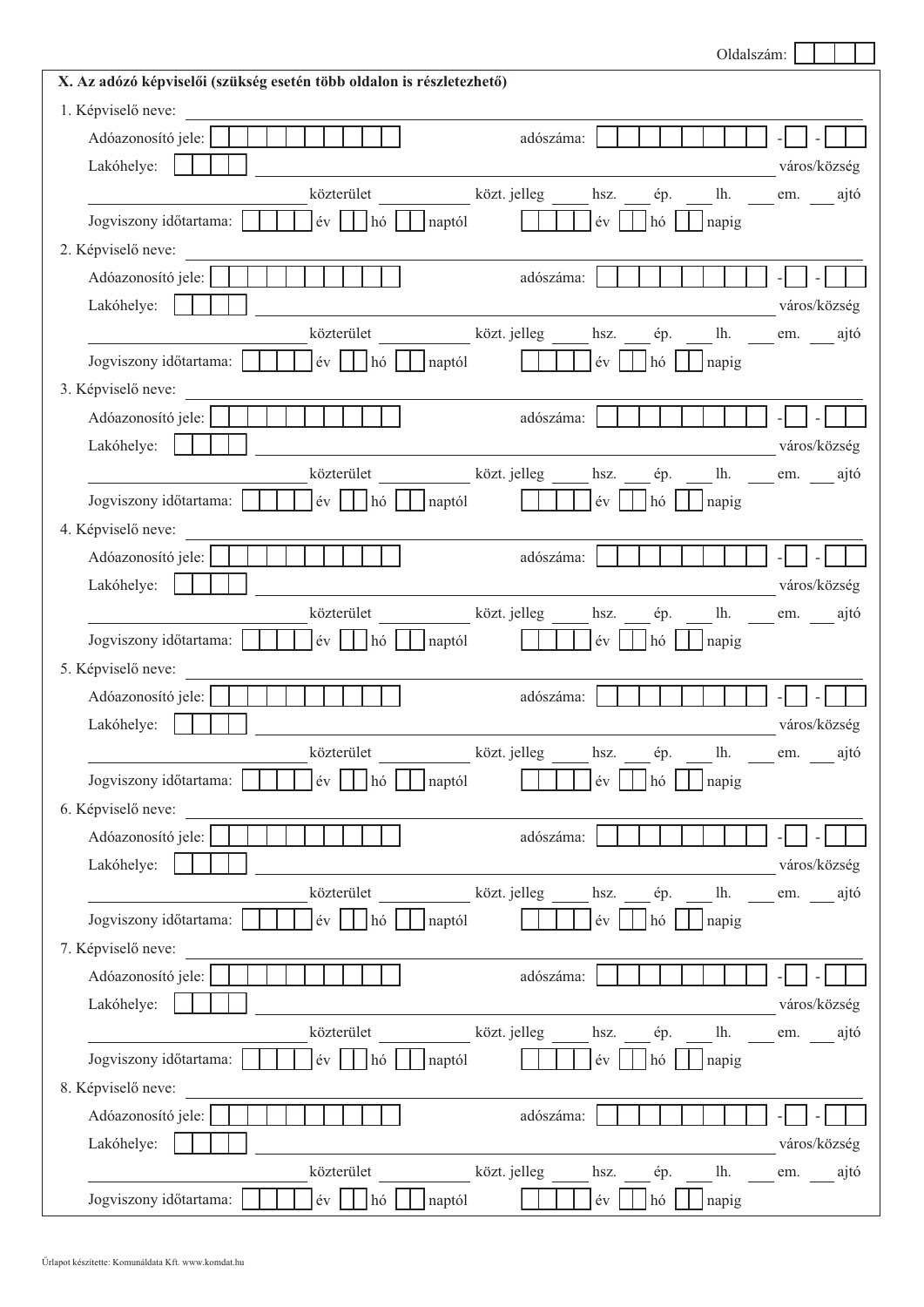|                                                                                         | Oldalszám:                                          |              |
|-----------------------------------------------------------------------------------------|-----------------------------------------------------|--------------|
| X. Az adózó képviselői (szükség esetén több oldalon is részletezhető)                   |                                                     |              |
| 1. Képviselő neve:                                                                      |                                                     |              |
| Adóazonosító jele:                                                                      | adószáma:                                           |              |
| Lakóhelye:                                                                              |                                                     | város/község |
| közterület                                                                              | közt. jelleg hsz.<br>ép. lh. em. ajtó               |              |
| $ev$    <br>naptól<br>Jogviszony időtartama:<br>$h\acute{o}$                            | $\acute{\text{e}}\text{v}$<br>napig<br>$h\acute{o}$ |              |
| 2. Képviselő neve:                                                                      |                                                     |              |
| Adóazonosító jele:                                                                      | adószáma:                                           |              |
| Lakóhelye:                                                                              |                                                     | város/község |
| közterület                                                                              | közt. jelleg hsz.<br>ép. lh. em. ajtó               |              |
| Jogviszony időtartama:<br>naptól                                                        | $\acute{e}v$<br>napig<br>$ h\phi $                  |              |
| 3. Képviselő neve:                                                                      |                                                     |              |
| Adóazonosító jele:                                                                      | adószáma:                                           |              |
| Lakóhelye:                                                                              |                                                     | város/község |
| közterület                                                                              | közt. jelleg<br>hsz.<br>ép.                         | lh. em. ajtó |
| év<br>Jogviszony időtartama:<br>naptól<br>$h\dot{\sigma}$                               | év<br>$ $ napig<br>l hó                             |              |
| 4. Képviselő neve:                                                                      |                                                     |              |
| Adóazonosító jele:                                                                      | adószáma:                                           |              |
| Lakóhelye:                                                                              |                                                     | város/község |
| közterület                                                                              | közt. jelleg<br>hsz.<br>ép.                         | lh. em. ajtó |
| Jogviszony időtartama:<br>$\left  \text{ev} \right  \left  \text{ho} \right $<br>naptól | év<br>$ $ napig<br>$h$ ó                            |              |
| 5. Képviselő neve:                                                                      |                                                     |              |
| Adóazonosító jele:                                                                      | adószáma:                                           |              |
| Lakóhelye:                                                                              |                                                     | város/község |
| közterület                                                                              | közt. jelleg<br>hsz.<br>lh.<br>ép.                  | ajtó<br>em.  |
| Jogviszony időtartama:<br>év<br>naptól<br>hó                                            | év<br>napig<br>hó                                   |              |
| 6. Képviselő neve:                                                                      |                                                     |              |
| Adóazonosító jele:                                                                      | adószáma:                                           |              |
| Lakóhelye:                                                                              |                                                     | város/község |
| közterület                                                                              | közt. jelleg<br>hsz.<br>1h.<br>ép.                  | em. ajtó     |
| év<br>naptól<br>Jogviszony időtartama:<br>$h\acute{o}$                                  | év<br>napig<br>l hó                                 |              |
| 7. Képviselő neve:                                                                      |                                                     |              |
| Adóazonosító jele:                                                                      | adószáma:                                           |              |
| Lakóhelye:                                                                              |                                                     | város/község |
| közterület                                                                              | közt. jelleg<br>hsz.<br>lh.<br>ép.                  | em. ajtó     |
| Jogviszony időtartama:<br>év<br>naptól<br>l hó                                          | év<br>napig<br>hó                                   |              |
| 8. Képviselő neve:                                                                      |                                                     |              |
| Adóazonosító jele:                                                                      | adószáma:                                           |              |
| Lakóhelye:                                                                              |                                                     | város/község |
| közterület<br>közt. jelleg                                                              | lh.<br>hsz.<br>ép.                                  | em. ajtó     |
| Jogviszony időtartama:<br>év<br>naptól<br>hó                                            | év<br>napig<br>hó                                   |              |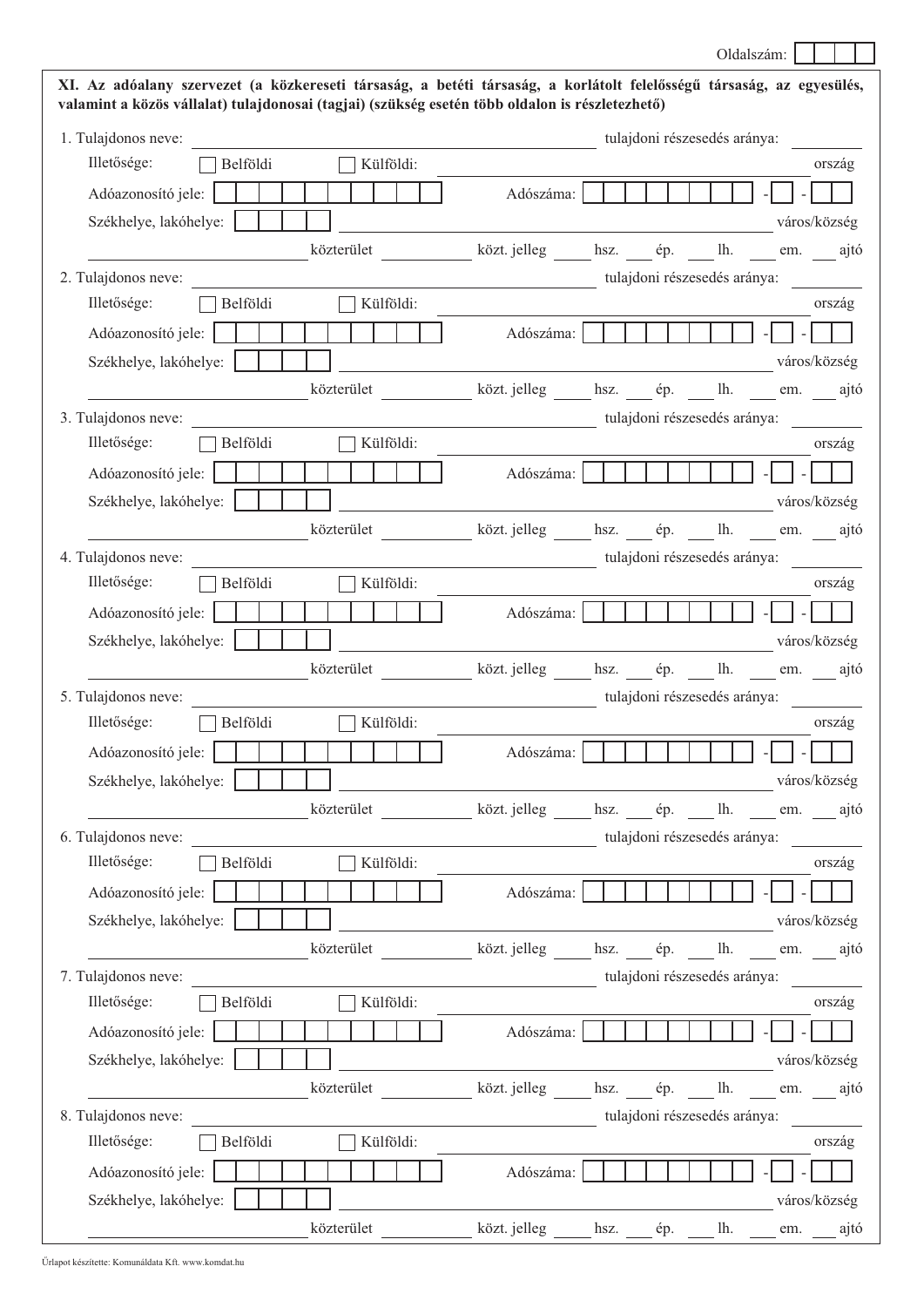| valamint a közös vállalat) tulajdonosai (tagjai) (szükség esetén több oldalon is részletezhető) | XI. Az adóalany szervezet (a közkereseti társaság, a betéti társaság, a korlátolt felelősségű társaság, az egyesülés, |
|-------------------------------------------------------------------------------------------------|-----------------------------------------------------------------------------------------------------------------------|
| 1. Tulajdonos neve:                                                                             | tulajdoni részesedés aránya:                                                                                          |
| Külföldi:<br>Illetősége:<br>Belföldi                                                            | ország                                                                                                                |
| Adóazonosító jele:                                                                              | Adószáma:                                                                                                             |
| Székhelye, lakóhelye:                                                                           | város/község                                                                                                          |
|                                                                                                 | közterület közt jelleg hsz. ép. lh. em. ajtó                                                                          |
| 2. Tulajdonos neve:                                                                             | tulajdoni részesedés aránya:                                                                                          |
| Illetősége:<br>Belföldi<br>Külföldi:                                                            | ország                                                                                                                |
| Adóazonosító jele:                                                                              | Adószáma:                                                                                                             |
| Székhelye, lakóhelye:                                                                           | város/község                                                                                                          |
|                                                                                                 | közterület közt. jelleg hsz. ép. lh. em. ajtó                                                                         |
| 3. Tulajdonos neve:                                                                             | tulajdoni részesedés aránya:                                                                                          |
| Illetősége:<br>Külföldi:<br>Belföldi                                                            | ország                                                                                                                |
| Adóazonosító jele:                                                                              | Adószáma:                                                                                                             |
| Székhelye, lakóhelye:                                                                           | város/község                                                                                                          |
|                                                                                                 | közterület közt jelleg hsz. ép. lh. em. ajtó                                                                          |
| 4. Tulajdonos neve:                                                                             | tulajdoni részesedés aránya:                                                                                          |
| Illetősége:<br>Belföldi<br>Külföldi:                                                            | ország                                                                                                                |
| Adóazonosító jele:                                                                              | Adószáma:                                                                                                             |
| Székhelye, lakóhelye:                                                                           | város/község                                                                                                          |
|                                                                                                 | közterület közt. jelleg hsz. __ ép. __ lh. __ em. __ ajtó                                                             |
| 5. Tulajdonos neve:                                                                             | tulajdoni részesedés aránya:                                                                                          |
| Illetősége:                                                                                     |                                                                                                                       |
| Belföldi<br>Külföldi:                                                                           | ország                                                                                                                |
| Adóazonosító jele:                                                                              | Adószáma:                                                                                                             |
| Székhelye, lakóhelye:                                                                           | város/község                                                                                                          |
|                                                                                                 | közterület közt jelleg hsz. ép. lh. em. ajtó                                                                          |
| 6. Tulajdonos neve:                                                                             | tulajdoni részesedés aránya:                                                                                          |
| Illetősége:<br>Külföldi:<br>Belföldi                                                            | ország                                                                                                                |
| Adóazonosító jele:                                                                              | Adószáma:                                                                                                             |
| Székhelye, lakóhelye:                                                                           | város/község                                                                                                          |
|                                                                                                 | közterület közt jelleg hsz. ép. lh. em. ajtó                                                                          |
| 7. Tulajdonos neve:                                                                             | tulajdoni részesedés aránya:                                                                                          |
| Illetősége:<br>Belföldi<br>Külföldi:                                                            | ország                                                                                                                |
| Adóazonosító jele:                                                                              | Adószáma:                                                                                                             |
| Székhelye, lakóhelye:                                                                           | város/község                                                                                                          |
|                                                                                                 | közterület közt jelleg hsz. ép. lh. em. ajtó                                                                          |
| 8. Tulajdonos neve:                                                                             | tulajdoni részesedés aránya:                                                                                          |
| Illetősége:<br>Belföldi<br>Külföldi:                                                            | ország                                                                                                                |
| Adóazonosító jele:                                                                              | Adószáma:                                                                                                             |
| Székhelye, lakóhelye:                                                                           | város/község<br>közterület ____________ közt. jelleg _______ hsz. _____ ép. ______ lh. _____ em. _____ ajtó           |

Oldalszám: